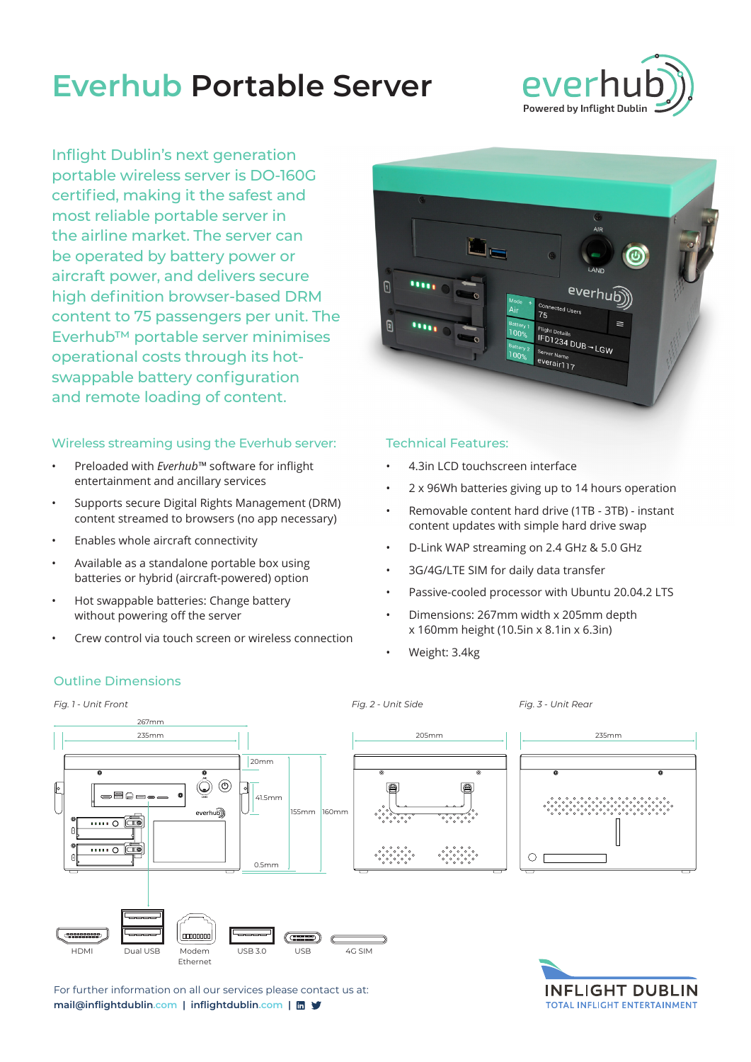# **Everhub Portable Server**



Inflight Dublin's next generation portable wireless server is DO-160G certified, making it the safest and most reliable portable server in the airline market. The server can be operated by battery power or aircraft power, and delivers secure high definition browser-based DRM content to 75 passengers per unit. The Everhub™ portable server minimises operational costs through its hotswappable battery configuration and remote loading of content.

### Wireless streaming using the Everhub server:

- Preloaded with *Everhub™* software for inflight entertainment and ancillary services
- Supports secure Digital Rights Management (DRM) content streamed to browsers (no app necessary)
- Enables whole aircraft connectivity
- Available as a standalone portable box using batteries or hybrid (aircraft-powered) option
- Hot swappable batteries: Change battery without powering off the server
- Crew control via touch screen or wireless connection



#### Technical Features:

- 4.3in LCD touchscreen interface
- 2 x 96Wh batteries giving up to 14 hours operation
- Removable content hard drive (1TB 3TB) instant content updates with simple hard drive swap
- D-Link WAP streaming on 2.4 GHz & 5.0 GHz
- 3G/4G/LTE SIM for daily data transfer
- Passive-cooled processor with Ubuntu 20.04.2 LTS

**TOTAL INFLIGHT ENTERTAINMENT** 

- Dimensions: 267mm width x 205mm depth  $x$  160mm height (10.5in  $x$  8.1in  $x$  6.3in)
- Weight: 3.4kg



For further information on all our services please contact us at: **mail@inflightdublin.com | inflightdublin.com |**

#### Outline Dimensions